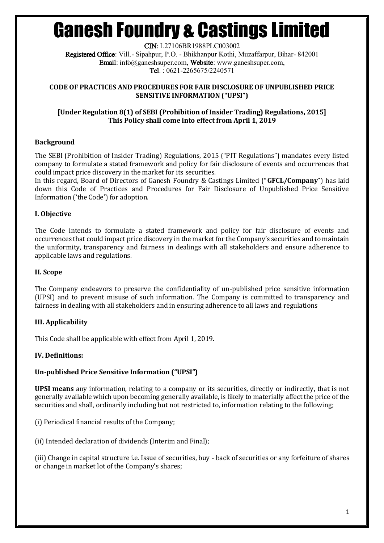CIN: L27106BR1988PLC003002 Registered Office: Vill.- Sipahpur, P.O. - Bhikhanpur Kothi, Muzaffarpur, Bihar- 842001 Email: info@ganeshsuper.com, Website: www.ganeshsuper.com, Tel. : 0621-2265675/2240571

#### **CODE OF PRACTICES AND PROCEDURES FOR FAIR DISCLOSURE OF UNPUBLISHED PRICE SENSITIVE INFORMATION ("UPSI")**

## **[Under Regulation 8(1) of SEBI (Prohibition of Insider Trading) Regulations, 2015] This Policy shall come into effect from April 1, 2019**

## **Background**

The SEBI (Prohibition of Insider Trading) Regulations, 2015 ("PIT Regulations") mandates every listed company to formulate a stated framework and policy for fair disclosure of events and occurrences that could impact price discovery in the market for its securities.

In this regard, Board of Directors of Ganesh Foundry & Castings Limited ("**GFCL/Company**") has laid down this Code of Practices and Procedures for Fair Disclosure of Unpublished Price Sensitive Information ('the Code') for adoption.

## **I. Objective**

The Code intends to formulate a stated framework and policy for fair disclosure of events and occurrences that could impact price discovery in the market for the Company's securities and to maintain the uniformity, transparency and fairness in dealings with all stakeholders and ensure adherence to applicable laws and regulations.

## **II. Scope**

The Company endeavors to preserve the confidentiality of un-published price sensitive information (UPSI) and to prevent misuse of such information. The Company is committed to transparency and fairness in dealing with all stakeholders and in ensuring adherence to all laws and regulations

## **III. Applicability**

This Code shall be applicable with effect from April 1, 2019.

## **IV. Definitions:**

## **Un-published Price Sensitive Information ("UPSI")**

**UPSI means** any information, relating to a company or its securities, directly or indirectly, that is not generally available which upon becoming generally available, is likely to materially affect the price of the securities and shall, ordinarily including but not restricted to, information relating to the following;

(i) Periodical financial results of the Company;

(ii) Intended declaration of dividends (Interim and Final);

(iii) Change in capital structure i.e. Issue of securities, buy - back of securities or any forfeiture of shares or change in market lot of the Company's shares;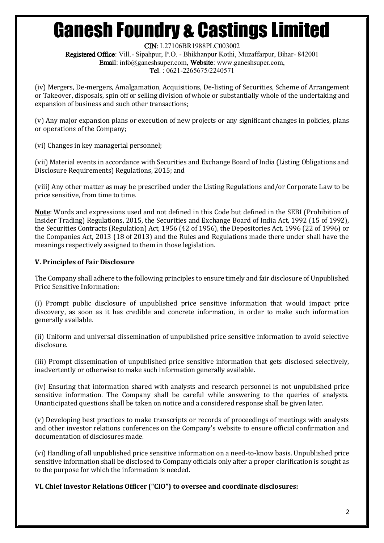CIN: L27106BR1988PLC003002 Registered Office: Vill.- Sipahpur, P.O. - Bhikhanpur Kothi, Muzaffarpur, Bihar- 842001 Email: info@ganeshsuper.com, Website: www.ganeshsuper.com, Tel. : 0621-2265675/2240571

(iv) Mergers, De-mergers, Amalgamation, Acquisitions, De-listing of Securities, Scheme of Arrangement or Takeover, disposals, spin off or selling division of whole or substantially whole of the undertaking and expansion of business and such other transactions;

(v) Any major expansion plans or execution of new projects or any significant changes in policies, plans or operations of the Company;

(vi) Changes in key managerial personnel;

(vii) Material events in accordance with Securities and Exchange Board of India (Listing Obligations and Disclosure Requirements) Regulations, 2015; and

(viii) Any other matter as may be prescribed under the Listing Regulations and/or Corporate Law to be price sensitive, from time to time.

**Note**: Words and expressions used and not defined in this Code but defined in the SEBI (Prohibition of Insider Trading) Regulations, 2015, the Securities and Exchange Board of India Act, 1992 (15 of 1992), the Securities Contracts (Regulation) Act, 1956 (42 of 1956), the Depositories Act, 1996 (22 of 1996) or the Companies Act, 2013 (18 of 2013) and the Rules and Regulations made there under shall have the meanings respectively assigned to them in those legislation.

## **V. Principles of Fair Disclosure**

The Company shall adhere to the following principles to ensure timely and fair disclosure of Unpublished Price Sensitive Information:

(i) Prompt public disclosure of unpublished price sensitive information that would impact price discovery, as soon as it has credible and concrete information, in order to make such information generally available.

(ii) Uniform and universal dissemination of unpublished price sensitive information to avoid selective disclosure.

(iii) Prompt dissemination of unpublished price sensitive information that gets disclosed selectively, inadvertently or otherwise to make such information generally available.

(iv) Ensuring that information shared with analysts and research personnel is not unpublished price sensitive information. The Company shall be careful while answering to the queries of analysts. Unanticipated questions shall be taken on notice and a considered response shall be given later.

(v) Developing best practices to make transcripts or records of proceedings of meetings with analysts and other investor relations conferences on the Company's website to ensure official confirmation and documentation of disclosures made.

(vi) Handling of all unpublished price sensitive information on a need-to-know basis. Unpublished price sensitive information shall be disclosed to Company officials only after a proper clarification is sought as to the purpose for which the information is needed.

**VI. Chief Investor Relations Officer ("CIO") to oversee and coordinate disclosures:**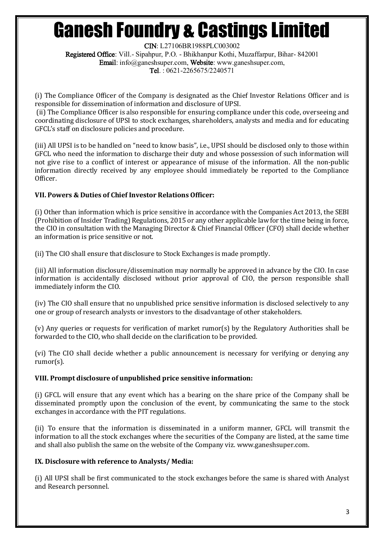CIN: L27106BR1988PLC003002 Registered Office: Vill.- Sipahpur, P.O. - Bhikhanpur Kothi, Muzaffarpur, Bihar- 842001 Email: info@ganeshsuper.com, Website: www.ganeshsuper.com, Tel. : 0621-2265675/2240571

(i) The Compliance Officer of the Company is designated as the Chief Investor Relations Officer and is responsible for dissemination of information and disclosure of UPSI.

(ii) The Compliance Officer is also responsible for ensuring compliance under this code, overseeing and coordinating disclosure of UPSI to stock exchanges, shareholders, analysts and media and for educating GFCL's staff on disclosure policies and procedure.

(iii) All UPSI is to be handled on "need to know basis", i.e., UPSI should be disclosed only to those within GFCL who need the information to discharge their duty and whose possession of such information will not give rise to a conflict of interest or appearance of misuse of the information. All the non-public information directly received by any employee should immediately be reported to the Compliance Officer.

## **VII. Powers & Duties of Chief Investor Relations Officer:**

(i) Other than information which is price sensitive in accordance with the Companies Act 2013, the SEBI (Prohibition of Insider Trading) Regulations, 2015 or any other applicable law for the time being in force, the CIO in consultation with the Managing Director & Chief Financial Officer (CFO) shall decide whether an information is price sensitive or not.

(ii) The CIO shall ensure that disclosure to Stock Exchanges is made promptly.

(iii) All information disclosure/dissemination may normally be approved in advance by the CIO. In case information is accidentally disclosed without prior approval of CIO, the person responsible shall immediately inform the CIO.

(iv) The CIO shall ensure that no unpublished price sensitive information is disclosed selectively to any one or group of research analysts or investors to the disadvantage of other stakeholders.

(v) Any queries or requests for verification of market rumor(s) by the Regulatory Authorities shall be forwarded to the CIO, who shall decide on the clarification to be provided.

(vi) The CIO shall decide whether a public announcement is necessary for verifying or denying any rumor(s).

## **VIII. Prompt disclosure of unpublished price sensitive information:**

(i) GFCL will ensure that any event which has a bearing on the share price of the Company shall be disseminated promptly upon the conclusion of the event, by communicating the same to the stock exchanges in accordance with the PIT regulations.

(ii) To ensure that the information is disseminated in a uniform manner, GFCL will transmit the information to all the stock exchanges where the securities of the Company are listed, at the same time and shall also publish the same on the website of the Company viz. www.ganeshsuper.com.

## **IX. Disclosure with reference to Analysts/ Media:**

(i) All UPSI shall be first communicated to the stock exchanges before the same is shared with Analyst and Research personnel.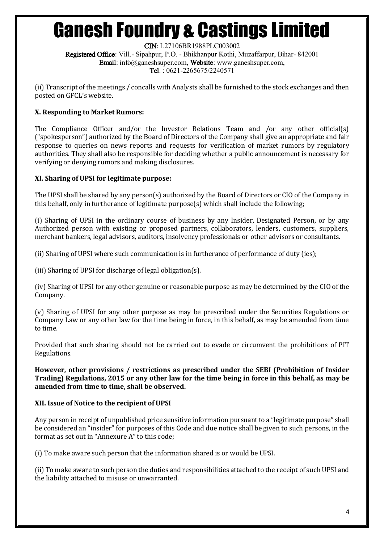CIN: L27106BR1988PLC003002 Registered Office: Vill.- Sipahpur, P.O. - Bhikhanpur Kothi, Muzaffarpur, Bihar- 842001 Email: info@ganeshsuper.com, Website: www.ganeshsuper.com, Tel. : 0621-2265675/2240571

(ii) Transcript of the meetings / concalls with Analysts shall be furnished to the stock exchanges and then posted on GFCL's website.

## **X. Responding to Market Rumors:**

The Compliance Officer and/or the Investor Relations Team and /or any other official(s) ("spokesperson") authorized by the Board of Directors of the Company shall give an appropriate and fair response to queries on news reports and requests for verification of market rumors by regulatory authorities. They shall also be responsible for deciding whether a public announcement is necessary for verifying or denying rumors and making disclosures.

## **XI. Sharing of UPSI for legitimate purpose:**

The UPSI shall be shared by any person(s) authorized by the Board of Directors or CIO of the Company in this behalf, only in furtherance of legitimate purpose(s) which shall include the following;

(i) Sharing of UPSI in the ordinary course of business by any Insider, Designated Person, or by any Authorized person with existing or proposed partners, collaborators, lenders, customers, suppliers, merchant bankers, legal advisors, auditors, insolvency professionals or other advisors or consultants.

(ii) Sharing of UPSI where such communication is in furtherance of performance of duty (ies);

(iii) Sharing of UPSI for discharge of legal obligation(s).

(iv) Sharing of UPSI for any other genuine or reasonable purpose as may be determined by the CIO of the Company.

(v) Sharing of UPSI for any other purpose as may be prescribed under the Securities Regulations or Company Law or any other law for the time being in force, in this behalf, as may be amended from time to time.

Provided that such sharing should not be carried out to evade or circumvent the prohibitions of PIT Regulations.

**However, other provisions / restrictions as prescribed under the SEBI (Prohibition of Insider Trading) Regulations, 2015 or any other law for the time being in force in this behalf, as may be amended from time to time, shall be observed.** 

## **XII. Issue of Notice to the recipient of UPSI**

Any person in receipt of unpublished price sensitive information pursuant to a "legitimate purpose" shall be considered an "insider" for purposes of this Code and due notice shall be given to such persons, in the format as set out in "Annexure A" to this code;

(i) To make aware such person that the information shared is or would be UPSI.

(ii) To make aware to such person the duties and responsibilities attached to the receipt of such UPSI and the liability attached to misuse or unwarranted.